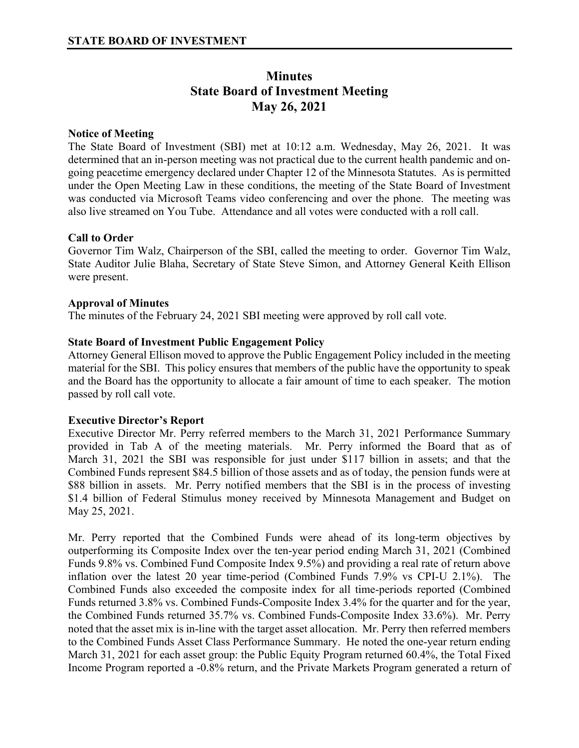# **Minutes State Board of Investment Meeting May 26, 2021**

# **Notice of Meeting**

The State Board of Investment (SBI) met at 10:12 a.m. Wednesday, May 26, 2021. It was determined that an in-person meeting was not practical due to the current health pandemic and ongoing peacetime emergency declared under Chapter 12 of the Minnesota Statutes. As is permitted under the Open Meeting Law in these conditions, the meeting of the State Board of Investment was conducted via Microsoft Teams video conferencing and over the phone. The meeting was also live streamed on You Tube. Attendance and all votes were conducted with a roll call.

## **Call to Order**

Governor Tim Walz, Chairperson of the SBI, called the meeting to order. Governor Tim Walz, State Auditor Julie Blaha, Secretary of State Steve Simon, and Attorney General Keith Ellison were present.

## **Approval of Minutes**

The minutes of the February 24, 2021 SBI meeting were approved by roll call vote.

## **State Board of Investment Public Engagement Policy**

Attorney General Ellison moved to approve the Public Engagement Policy included in the meeting material for the SBI. This policy ensures that members of the public have the opportunity to speak and the Board has the opportunity to allocate a fair amount of time to each speaker. The motion passed by roll call vote.

#### **Executive Director's Report**

Executive Director Mr. Perry referred members to the March 31, 2021 Performance Summary provided in Tab A of the meeting materials. Mr. Perry informed the Board that as of March 31, 2021 the SBI was responsible for just under \$117 billion in assets; and that the Combined Funds represent \$84.5 billion of those assets and as of today, the pension funds were at \$88 billion in assets. Mr. Perry notified members that the SBI is in the process of investing \$1.4 billion of Federal Stimulus money received by Minnesota Management and Budget on May 25, 2021.

Mr. Perry reported that the Combined Funds were ahead of its long-term objectives by outperforming its Composite Index over the ten-year period ending March 31, 2021 (Combined Funds 9.8% vs. Combined Fund Composite Index 9.5%) and providing a real rate of return above inflation over the latest 20 year time-period (Combined Funds 7.9% vs CPI-U 2.1%). The Combined Funds also exceeded the composite index for all time-periods reported (Combined Funds returned 3.8% vs. Combined Funds-Composite Index 3.4% for the quarter and for the year, the Combined Funds returned 35.7% vs. Combined Funds-Composite Index 33.6%). Mr. Perry noted that the asset mix is in-line with the target asset allocation. Mr. Perry then referred members to the Combined Funds Asset Class Performance Summary. He noted the one-year return ending March 31, 2021 for each asset group: the Public Equity Program returned 60.4%, the Total Fixed Income Program reported a -0.8% return, and the Private Markets Program generated a return of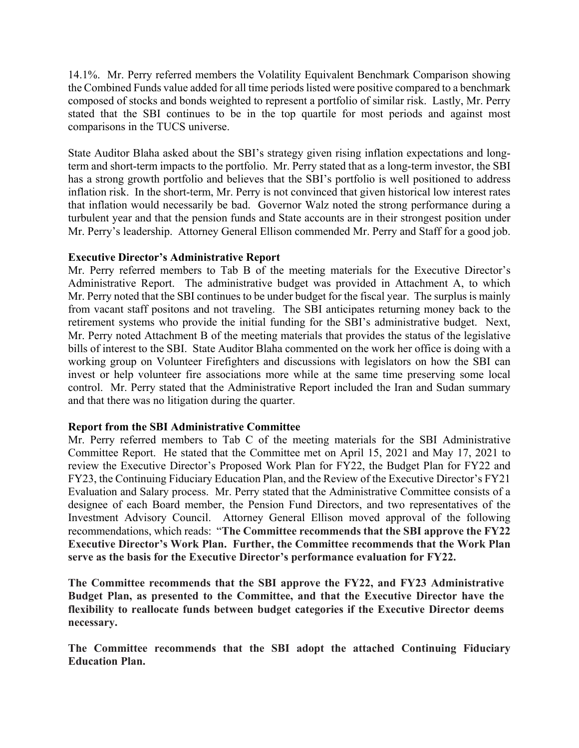14.1%. Mr. Perry referred members the Volatility Equivalent Benchmark Comparison showing the Combined Funds value added for all time periods listed were positive compared to a benchmark composed of stocks and bonds weighted to represent a portfolio of similar risk. Lastly, Mr. Perry stated that the SBI continues to be in the top quartile for most periods and against most comparisons in the TUCS universe.

State Auditor Blaha asked about the SBI's strategy given rising inflation expectations and longterm and short-term impacts to the portfolio. Mr. Perry stated that as a long-term investor, the SBI has a strong growth portfolio and believes that the SBI's portfolio is well positioned to address inflation risk. In the short-term, Mr. Perry is not convinced that given historical low interest rates that inflation would necessarily be bad. Governor Walz noted the strong performance during a turbulent year and that the pension funds and State accounts are in their strongest position under Mr. Perry's leadership. Attorney General Ellison commended Mr. Perry and Staff for a good job.

## **Executive Director's Administrative Report**

Mr. Perry referred members to Tab B of the meeting materials for the Executive Director's Administrative Report. The administrative budget was provided in Attachment A, to which Mr. Perry noted that the SBI continues to be under budget for the fiscal year. The surplus is mainly from vacant staff positons and not traveling. The SBI anticipates returning money back to the retirement systems who provide the initial funding for the SBI's administrative budget. Next, Mr. Perry noted Attachment B of the meeting materials that provides the status of the legislative bills of interest to the SBI. State Auditor Blaha commented on the work her office is doing with a working group on Volunteer Firefighters and discussions with legislators on how the SBI can invest or help volunteer fire associations more while at the same time preserving some local control. Mr. Perry stated that the Administrative Report included the Iran and Sudan summary and that there was no litigation during the quarter.

# **Report from the SBI Administrative Committee**

Mr. Perry referred members to Tab C of the meeting materials for the SBI Administrative Committee Report. He stated that the Committee met on April 15, 2021 and May 17, 2021 to review the Executive Director's Proposed Work Plan for FY22, the Budget Plan for FY22 and FY23, the Continuing Fiduciary Education Plan, and the Review of the Executive Director's FY21 Evaluation and Salary process. Mr. Perry stated that the Administrative Committee consists of a designee of each Board member, the Pension Fund Directors, and two representatives of the Investment Advisory Council. Attorney General Ellison moved approval of the following recommendations, which reads: "**The Committee recommends that the SBI approve the FY22 Executive Director's Work Plan. Further, the Committee recommends that the Work Plan serve as the basis for the Executive Director's performance evaluation for FY22.**

**The Committee recommends that the SBI approve the FY22, and FY23 Administrative Budget Plan, as presented to the Committee, and that the Executive Director have the flexibility to reallocate funds between budget categories if the Executive Director deems necessary.** 

**The Committee recommends that the SBI adopt the attached Continuing Fiduciary Education Plan.**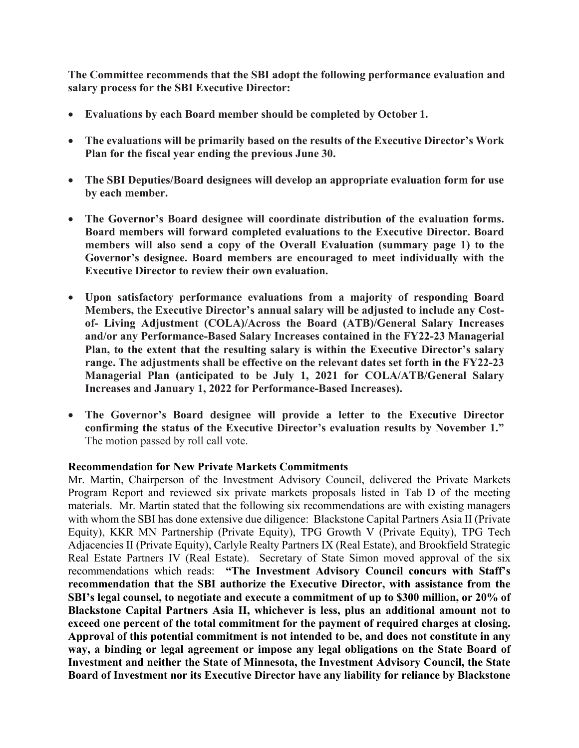**The Committee recommends that the SBI adopt the following performance evaluation and salary process for the SBI Executive Director:**

- **Evaluations by each Board member should be completed by October 1.**
- **The evaluations will be primarily based on the results of the Executive Director's Work Plan for the fiscal year ending the previous June 30.**
- **The SBI Deputies/Board designees will develop an appropriate evaluation form for use by each member.**
- **The Governor's Board designee will coordinate distribution of the evaluation forms. Board members will forward completed evaluations to the Executive Director. Board members will also send a copy of the Overall Evaluation (summary page 1) to the Governor's designee. Board members are encouraged to meet individually with the Executive Director to review their own evaluation.**
- **Upon satisfactory performance evaluations from a majority of responding Board Members, the Executive Director's annual salary will be adjusted to include any Costof- Living Adjustment (COLA)/Across the Board (ATB)/General Salary Increases and/or any Performance-Based Salary Increases contained in the FY22-23 Managerial Plan, to the extent that the resulting salary is within the Executive Director's salary range. The adjustments shall be effective on the relevant dates set forth in the FY22-23 Managerial Plan (anticipated to be July 1, 2021 for COLA/ATB/General Salary Increases and January 1, 2022 for Performance-Based Increases).**
- **The Governor's Board designee will provide a letter to the Executive Director confirming the status of the Executive Director's evaluation results by November 1."**  The motion passed by roll call vote.

# **Recommendation for New Private Markets Commitments**

Mr. Martin, Chairperson of the Investment Advisory Council, delivered the Private Markets Program Report and reviewed six private markets proposals listed in Tab D of the meeting materials. Mr. Martin stated that the following six recommendations are with existing managers with whom the SBI has done extensive due diligence: Blackstone Capital Partners Asia II (Private Equity), KKR MN Partnership (Private Equity), TPG Growth V (Private Equity), TPG Tech Adjacencies II (Private Equity), Carlyle Realty Partners IX (Real Estate), and Brookfield Strategic Real Estate Partners IV (Real Estate). Secretary of State Simon moved approval of the six recommendations which reads: **"The Investment Advisory Council concurs with Staff's recommendation that the SBI authorize the Executive Director, with assistance from the SBI's legal counsel, to negotiate and execute a commitment of up to \$300 million, or 20% of Blackstone Capital Partners Asia II, whichever is less, plus an additional amount not to exceed one percent of the total commitment for the payment of required charges at closing. Approval of this potential commitment is not intended to be, and does not constitute in any way, a binding or legal agreement or impose any legal obligations on the State Board of Investment and neither the State of Minnesota, the Investment Advisory Council, the State Board of Investment nor its Executive Director have any liability for reliance by Blackstone**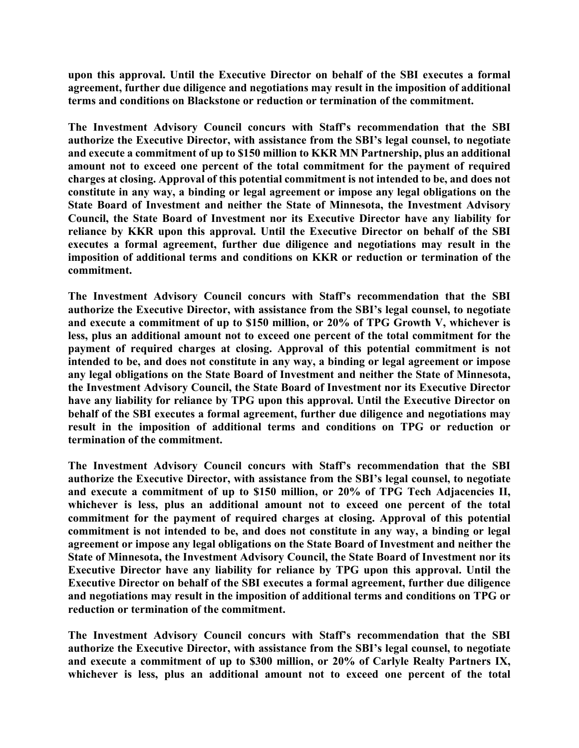**upon this approval. Until the Executive Director on behalf of the SBI executes a formal agreement, further due diligence and negotiations may result in the imposition of additional terms and conditions on Blackstone or reduction or termination of the commitment.** 

**The Investment Advisory Council concurs with Staff's recommendation that the SBI authorize the Executive Director, with assistance from the SBI's legal counsel, to negotiate and execute a commitment of up to \$150 million to KKR MN Partnership, plus an additional amount not to exceed one percent of the total commitment for the payment of required charges at closing. Approval of this potential commitment is not intended to be, and does not constitute in any way, a binding or legal agreement or impose any legal obligations on the State Board of Investment and neither the State of Minnesota, the Investment Advisory Council, the State Board of Investment nor its Executive Director have any liability for reliance by KKR upon this approval. Until the Executive Director on behalf of the SBI executes a formal agreement, further due diligence and negotiations may result in the imposition of additional terms and conditions on KKR or reduction or termination of the commitment.** 

**The Investment Advisory Council concurs with Staff's recommendation that the SBI authorize the Executive Director, with assistance from the SBI's legal counsel, to negotiate and execute a commitment of up to \$150 million, or 20% of TPG Growth V, whichever is less, plus an additional amount not to exceed one percent of the total commitment for the payment of required charges at closing. Approval of this potential commitment is not intended to be, and does not constitute in any way, a binding or legal agreement or impose any legal obligations on the State Board of Investment and neither the State of Minnesota, the Investment Advisory Council, the State Board of Investment nor its Executive Director have any liability for reliance by TPG upon this approval. Until the Executive Director on behalf of the SBI executes a formal agreement, further due diligence and negotiations may result in the imposition of additional terms and conditions on TPG or reduction or termination of the commitment.** 

**The Investment Advisory Council concurs with Staff's recommendation that the SBI authorize the Executive Director, with assistance from the SBI's legal counsel, to negotiate and execute a commitment of up to \$150 million, or 20% of TPG Tech Adjacencies II, whichever is less, plus an additional amount not to exceed one percent of the total commitment for the payment of required charges at closing. Approval of this potential commitment is not intended to be, and does not constitute in any way, a binding or legal agreement or impose any legal obligations on the State Board of Investment and neither the State of Minnesota, the Investment Advisory Council, the State Board of Investment nor its Executive Director have any liability for reliance by TPG upon this approval. Until the Executive Director on behalf of the SBI executes a formal agreement, further due diligence and negotiations may result in the imposition of additional terms and conditions on TPG or reduction or termination of the commitment.** 

**The Investment Advisory Council concurs with Staff's recommendation that the SBI authorize the Executive Director, with assistance from the SBI's legal counsel, to negotiate and execute a commitment of up to \$300 million, or 20% of Carlyle Realty Partners IX, whichever is less, plus an additional amount not to exceed one percent of the total**